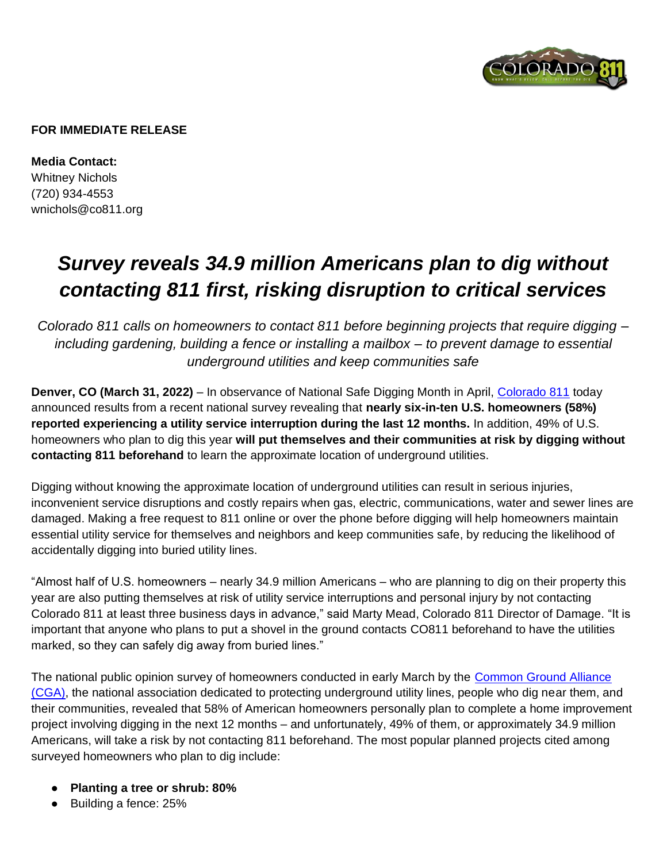

#### **FOR IMMEDIATE RELEASE**

**Media Contact:**  Whitney Nichols (720) 934-4553 wnichols@co811.org

# *Survey reveals 34.9 million Americans plan to dig without contacting 811 first, risking disruption to critical services*

*Colorado 811 calls on homeowners to contact 811 before beginning projects that require digging – including gardening, building a fence or installing a mailbox – to prevent damage to essential underground utilities and keep communities safe* 

**Denver, CO (March 31, 2022)** – In observance of National Safe Digging Month in April, [Colorado 811](https://www.colorado811.org/) today announced results from a recent national survey revealing that **nearly six-in-ten U.S. homeowners (58%) reported experiencing a utility service interruption during the last 12 months.** In addition, 49% of U.S. homeowners who plan to dig this year **will put themselves and their communities at risk by digging without contacting 811 beforehand** to learn the approximate location of underground utilities.

Digging without knowing the approximate location of underground utilities can result in serious injuries, inconvenient service disruptions and costly repairs when gas, electric, communications, water and sewer lines are damaged. Making a free request to 811 online or over the phone before digging will help homeowners maintain essential utility service for themselves and neighbors and keep communities safe, by reducing the likelihood of accidentally digging into buried utility lines.

"Almost half of U.S. homeowners – nearly 34.9 million Americans – who are planning to dig on their property this year are also putting themselves at risk of utility service interruptions and personal injury by not contacting Colorado 811 at least three business days in advance," said Marty Mead, Colorado 811 Director of Damage. "It is important that anyone who plans to put a shovel in the ground contacts CO811 beforehand to have the utilities marked, so they can safely dig away from buried lines."

The national public opinion survey of homeowners conducted in early March by the [Common Ground Alliance](https://commongroundalliance.com/)  [\(CGA\),](https://commongroundalliance.com/) the national association dedicated to protecting underground utility lines, people who dig near them, and their communities, revealed that 58% of American homeowners personally plan to complete a home improvement project involving digging in the next 12 months – and unfortunately, 49% of them, or approximately 34.9 million Americans, will take a risk by not contacting 811 beforehand. The most popular planned projects cited among surveyed homeowners who plan to dig include:

- **Planting a tree or shrub: 80%**
- Building a fence: 25%